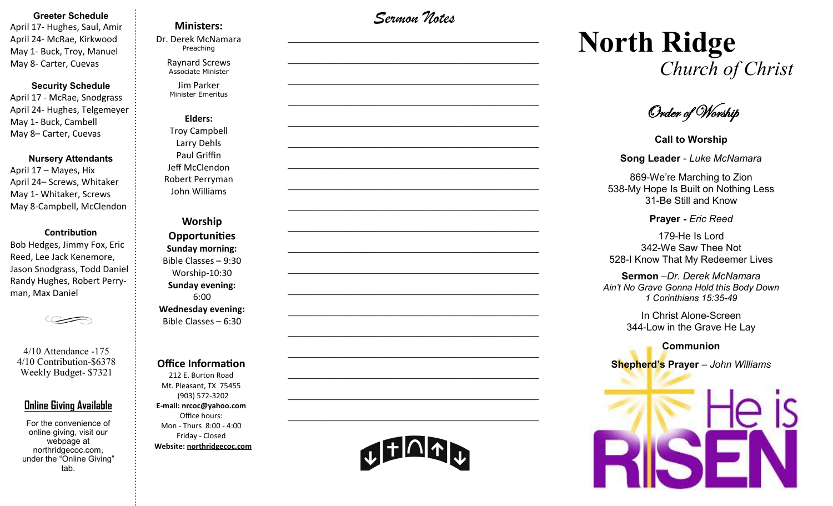#### **Greeter Schedule**

April 17- Hughes, Saul, Amir April 24- McRae, Kirkwood May 1- Buck, Troy, Manuel May 8- Carter, Cuevas

#### **Security Schedule**

April 17 - McRae, Snodgrass April 24- Hughes, Telgemeyer May 1- Buck, Cambell May 8– Carter, Cuevas

#### **Nursery Attendants**

April 17 – Mayes, Hix April 24– Screws, Whitaker May 1- Whitaker, Screws May 8-Campbell, McClendon

#### **Contribution**

Bob Hedges, Jimmy Fox, Eric Reed, Lee Jack Kenemore, Jason Snodgrass, Todd Daniel Randy Hughes, Robert Perryman, Max Daniel

4/10 Attendance -175 4/10 Contribution-\$6378 Weekly Budget- \$7321

### **Online Giving Available**

For the convenience of online giving, visit our webpage at northridgecoc.com, under the "Online Giving" tab.

## **Ministers:**

Dr. Derek McNamara Preaching 

Raynard Screws Associate Minister

Jim Parker Minister Emeritus

## **Elders:** Troy Campbell Larry Dehls Paul Griffin

Jeff McClendon Robert Perryman John Williams

**Worship Opportunities Sunday morning:**  Bible Classes – 9:30 Worship-10:30 **Sunday evening:**  6:00 **Wednesday evening:** Bible Classes – 6:30

#### **Office Information**

212 E. Burton Road Mt. Pleasant, TX 75455 (903) 572-3202 **E-mail: nrcoc@yahoo.com** Office hours: Mon - Thurs 8:00 - 4:00 Friday - Closed **Website: northridgecoc.com**

*Sermon Notes*

 $\mathcal{L}_\text{max}$ 

 $\mathcal{L}_\text{max}$  , and the set of the set of the set of the set of the set of the set of the set of the set of the set of the set of the set of the set of the set of the set of the set of the set of the set of the set of the

 $\mathcal{L}_\text{max}$  , and the set of the set of the set of the set of the set of the set of the set of the set of the set of the set of the set of the set of the set of the set of the set of the set of the set of the set of the

 $\mathcal{L}_\text{max}$  , and the set of the set of the set of the set of the set of the set of the set of the set of the set of the set of the set of the set of the set of the set of the set of the set of the set of the set of the

 $\mathcal{L}_\text{max}$ 

 $\mathcal{L}_\text{max}$ 

 $\mathcal{L}_\text{max}$  , and the set of the set of the set of the set of the set of the set of the set of the set of the set of the set of the set of the set of the set of the set of the set of the set of the set of the set of the

 $\mathcal{L}_\text{max}$  , and the set of the set of the set of the set of the set of the set of the set of the set of the set of the set of the set of the set of the set of the set of the set of the set of the set of the set of the

 $\mathcal{L}_\text{max}$  , and the set of the set of the set of the set of the set of the set of the set of the set of the set of the set of the set of the set of the set of the set of the set of the set of the set of the set of the

 $\mathcal{L}_\text{max}$ 

 $\mathcal{L}_\text{max}$  , and the set of the set of the set of the set of the set of the set of the set of the set of the set of the set of the set of the set of the set of the set of the set of the set of the set of the set of the

 $\mathcal{L}_\text{max}$  , and the set of the set of the set of the set of the set of the set of the set of the set of the set of the set of the set of the set of the set of the set of the set of the set of the set of the set of the

 $\mathcal{L}_\text{max}$  , and the set of the set of the set of the set of the set of the set of the set of the set of the set of the set of the set of the set of the set of the set of the set of the set of the set of the set of the

 $\mathcal{L}_\text{max}$  , and the set of the set of the set of the set of the set of the set of the set of the set of the set of the set of the set of the set of the set of the set of the set of the set of the set of the set of the

 $\mathcal{L}_\text{max}$ 

 $\mathcal{L}_\text{max}$  , and the set of the set of the set of the set of the set of the set of the set of the set of the set of the set of the set of the set of the set of the set of the set of the set of the set of the set of the

 $\mathcal{L}_\text{max}$  , and the set of the set of the set of the set of the set of the set of the set of the set of the set of the set of the set of the set of the set of the set of the set of the set of the set of the set of the

 $\mathcal{L}_\text{max}$  , and the set of the set of the set of the set of the set of the set of the set of the set of the set of the set of the set of the set of the set of the set of the set of the set of the set of the set of the

 $\mathcal{L}_\text{max}$  , and the set of the set of the set of the set of the set of the set of the set of the set of the set of the set of the set of the set of the set of the set of the set of the set of the set of the set of the

# **North Ridge**  *Church of Christ*

Order of Worship

**Call to Worship**

#### **Song Leader** *- Luke McNamara*

869-We're Marching to Zion 538-My Hope Is Built on Nothing Less 31-Be Still and Know

**Prayer -** *Eric Reed*

179-He Is Lord 342-We Saw Thee Not 528-I Know That My Redeemer Lives

#### **Sermon** –*Dr. Derek McNamara*

*Ain't No Grave Gonna Hold this Body Down 1 Corinthians 15:35-49*

> In Christ Alone-Screen 344-Low in the Grave He Lay

**Communion Shepherd's Prayer** *– John Williams*